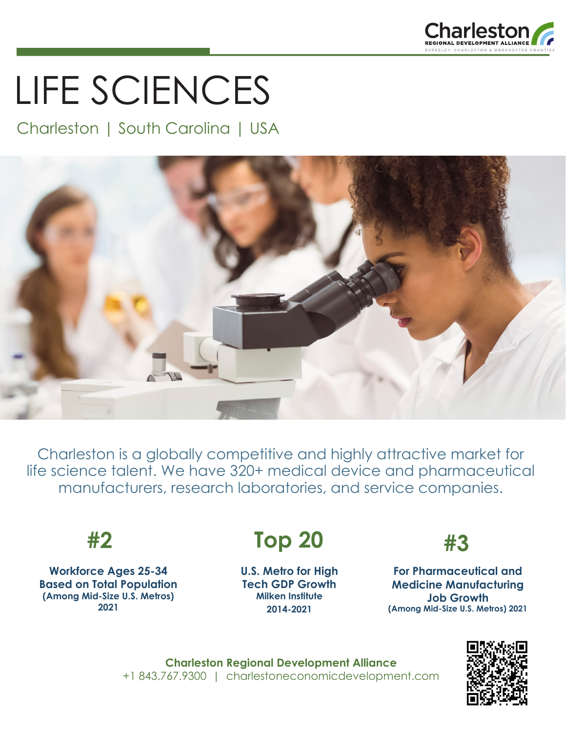

# LIFE SCIENCES

### Charleston | South Carolina | USA



Charleston is a globally competitive and highly attractive market for life science talent. We have 320+ medical device and pharmaceutical manufacturers, research laboratories, and service companies.

**Workforce Ages 25-34 Based on Total Population (Among Mid-Size U.S. Metros) 2021**

## **#2 #3 Top 20**

**U.S. Metro for High Tech GDP Growth Milken Institute 2014-2021**



**For Pharmaceutical and Medicine Manufacturing Job Growth (Among Mid-Size U.S. Metros) 2021**

**Charleston Regional Development Alliance** +1 843.767.9300 | charlestoneconomicdevelopment.com